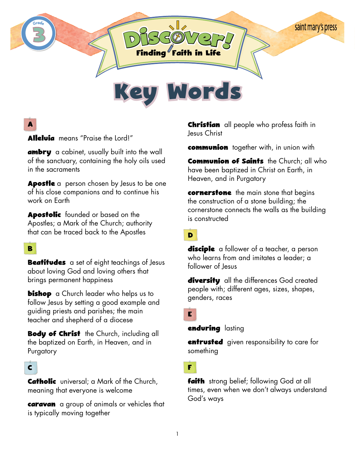

# **A**

**Alleluia** means "Praise the Lord!"

**ambry** a cabinet, usually built into the wall of the sanctuary, containing the holy oils used in the sacraments

**Apostle** a person chosen by Jesus to be one of his close companions and to continue his work on Earth

**Apostolic** founded or based on the Apostles; a Mark of the Church; authority that can be traced back to the Apostles

### **B**

**Beatitudes** a set of eight teachings of Jesus about loving God and loving others that brings permanent happiness

**bishop** a Church leader who helps us to follow Jesus by setting a good example and guiding priests and parishes; the main teacher and shepherd of a diocese

**Body of Christ** the Church, including all the baptized on Earth, in Heaven, and in Purgatory

#### **C**

**Catholic** universal; a Mark of the Church, meaning that everyone is welcome

**caravan** a group of animals or vehicles that is typically moving together

**Christian** all people who profess faith in Jesus Christ

**communion** together with, in union with

**Communion of Saints** the Church; all who have been baptized in Christ on Earth, in Heaven, and in Purgatory

**cornerstone** the main stone that begins the construction of a stone building; the cornerstone connects the walls as the building is constructed

**D**

**disciple** a follower of a teacher, a person who learns from and imitates a leader; a follower of Jesus

**diversity** all the differences God created people with; different ages, sizes, shapes, genders, races

**E**

**enduring** lasting

**entrusted** given responsibility to care for something

**F**

**faith** strong belief; following God at all times, even when we don't always understand God's ways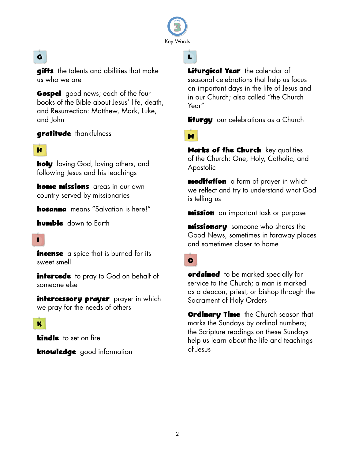

# **G**

**gifts** the talents and abilities that make us who we are

**Gospel** good news; each of the four books of the Bible about Jesus' life, death, and Resurrection: Matthew, Mark, Luke, and John

**gratitude** thankfulness

#### **H**

**holy** loving God, loving others, and following Jesus and his teachings

**home missions** areas in our own country served by missionaries

**hosanna** means "Salvation is here!"

**humble** down to Earth

### **I**

**incense** a spice that is burned for its sweet smell

**intercede** to pray to God on behalf of someone else

**intercessory prayer** prayer in which we pray for the needs of others

#### **K**

**kindle** to set on fire

**knowledge** good information

**Liturgical Year** the calendar of seasonal celebrations that help us focus on important days in the life of Jesus and in our Church; also called "the Church Year"

**liturgy** our celebrations as a Church

### **M**

**L**

**Marks of the Church** key qualities of the Church: One, Holy, Catholic, and Apostolic

**meditation** a form of prayer in which we reflect and try to understand what God is telling us

**mission** an important task or purpose

**missionary** someone who shares the Good News, sometimes in faraway places and sometimes closer to home

## **O**

**ordained** to be marked specially for service to the Church; a man is marked as a deacon, priest, or bishop through the Sacrament of Holy Orders

**Ordinary Time** the Church season that marks the Sundays by ordinal numbers; the Scripture readings on these Sundays help us learn about the life and teachings of Jesus